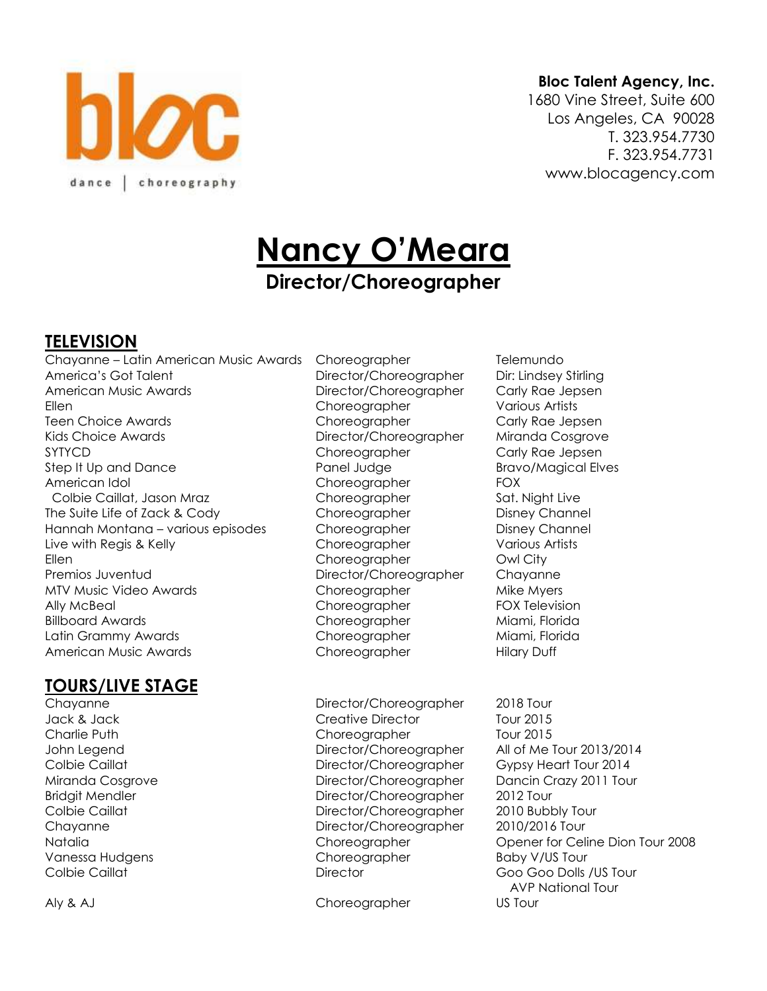

#### **Bloc Talent Agency, Inc.**

1680 Vine Street, Suite 600 Los Angeles, CA 90028 T. 323.954.7730 F. 323.954.7731 www.blocagency.com

# **Nancy O'Meara Director/Choreographer**

## **TELEVISION**

Chayanne – Latin American Music Awards Choreographer Telemundo America's Got Talent **Director/Choreographer** Dir: Lindsey Stirling American Music Awards Director/Choreographer Carly Rae Jepsen Ellen Choreographer Various Artists Teen Choice Awards **Choice Awards** Choreographer Carly Rae Jepsen Kids Choice Awards Director/Choreographer Miranda Cosgrove SYTYCD Choreographer Carly Rae Jepsen Step It Up and Dance **Panel Judge Bravo/Magical Elves** American Idol **Choreographer** FOX Colbie Caillat, Jason Mraz Choreographer Sat. Night Live The Suite Life of Zack & Cody Choreographer Disney Channel Hannah Montana – various episodes Choreographer Disney Channel Live with Regis & Kelly Choreographer Various Artists Ellen Choreographer Owl City Premios Juventud Director/Choreographer Chayanne MTV Music Video Awards **Choreographer** Mike Myers Mike Myers Ally McBeal Choreographer FOX Television Billboard Awards **Choreographer Miami, Florida** Latin Grammy Awards **Choreographer** Miami, Florida American Music Awards **Choreographer** Hilary Duff

## **TOURS/LIVE STAGE**

Chayanne **Director/Choreographer** 2018 Tour Jack & Jack Creative Director Tour 2015 Charlie Puth Choreographer Tour 2015 John Legend Director/Choreographer All of Me Tour 2013/2014 Colbie Caillat **Colbie Caillat** Director/Choreographer Gypsy Heart Tour 2014 Miranda Cosgrove Director/Choreographer Dancin Crazy 2011 Tour Bridgit Mendler **Director/Choreographer** 2012 Tour Colbie Caillat Director/Choreographer 2010 Bubbly Tour Chayanne Director/Choreographer 2010/2016 Tour Vanessa Hudgens Choreographer Baby V/US Tour Colbie Caillat Director Goo Goo Dolls /US Tour

Aly & AJ Choreographer US Tour

Natalia Choreographer Opener for Celine Dion Tour 2008 AVP National Tour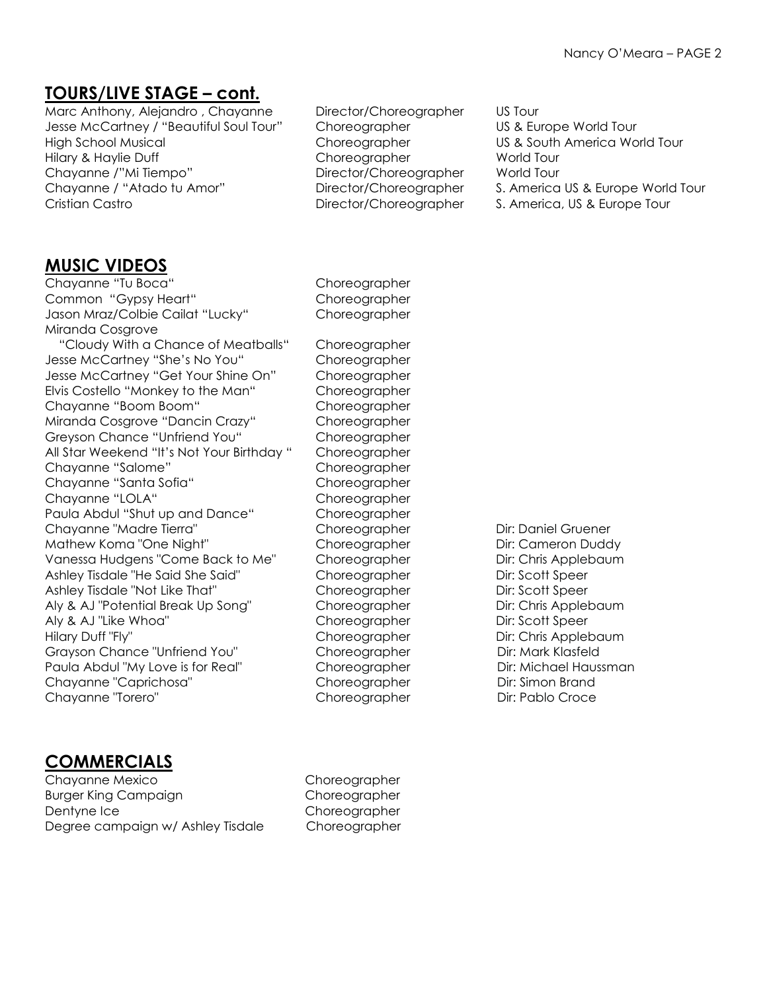## **TOURS/LIVE STAGE – cont.**

Marc Anthony, Alejandro , Chayanne Director/Choreographer US Tour Jesse McCartney / "Beautiful Soul Tour" Choreographer US & Europe World Tour High School Musical Choreographer US & South America World Tour Hilary & Haylie Duff Choreographer World Tour Chayanne /"Mi Tiempo" Director/Choreographer World Tour Chayanne / "Atado tu Amor" Director/Choreographer S. America US & Europe World Tour Cristian Castro **Director/Choreographer** S. America, US & Europe Tour

- 
- 
- 

### **MUSIC VIDEOS**

Chayanne "Tu Boca" Choreographer Common "Gypsy Heart" Choreographer Jason Mraz/Colbie Cailat "Lucky" Choreographer Miranda Cosgrove "Cloudy With a Chance of Meatballs" Choreographer Jesse McCartney "She's No You" Choreographer Jesse McCartney "Get Your Shine On" Choreographer Elvis Costello "Monkey to the Man" Choreographer Chayanne "Boom Boom" Choreographer Miranda Cosgrove "Dancin Crazy" Choreographer Greyson Chance "Unfriend You" Choreographer All Star Weekend "It's Not Your Birthday " Choreographer Chayanne "Salome" Choreographer Chayanne "Santa Sofia" Choreographer Chayanne "LOLA" Choreographer Paula Abdul "Shut up and Dance" Choreographer Chayanne "Madre Tierra" Choreographer Dir: Daniel Gruener Mathew Koma "One Night" Choreographer Dir: Cameron Duddy Vanessa Hudgens "Come Back to Me" Choreographer Dir: Chris Applebaum Ashley Tisdale "He Said She Said" Choreographer Dir: Scott Speer Ashley Tisdale "Not Like That" Choreographer Dir: Scott Speer Aly & AJ "Potential Break Up Song" Choreographer Dir: Chris Applebaum Aly & AJ "Like Whoa" Choreographer Dir: Scott Speer Hilary Duff "Fly" The Choreographer Dir: Chris Applebaum Grayson Chance "Unfriend You" Choreographer Dir: Mark Klasfeld Paula Abdul "My Love is for Real" Choreographer Dir: Michael Haussman Chayanne "Caprichosa" Choreographer Dir: Simon Brand Chayanne "Torero" and Choreographer Dir: Pablo Croce

## **COMMERCIALS**

Chayanne Mexico Choreographer Burger King Campaign **Choreographer** Dentyne Ice Choreographer Degree campaign w/ Ashley Tisdale Choreographer